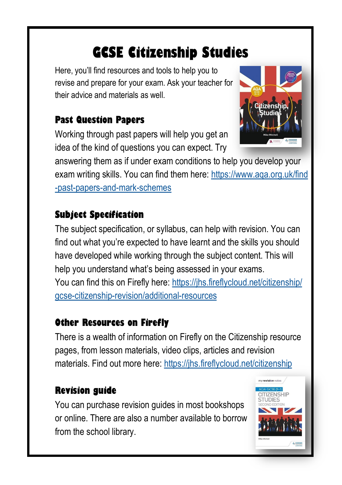# **GCSE Citizenship Studies**

Here, you'll find resources and tools to help you to revise and prepare for your exam. Ask your teacher for their advice and materials as well.

### **Past Question Papers**

Working through past papers will help you get an idea of the kind of questions you can expect. Try



answering them as if under exam conditions to help you develop your exam writing skills. You can find them here: [https://www.aqa.org.uk/find](file://SR-NAS-006/Users$/Staff/smhttps:/www.aqa.org.uk/find-past-papers-and-mark-schemesccracken/My Documents/AS Citizenship) [-past-papers-and-mark-schemes](file://SR-NAS-006/Users$/Staff/smhttps:/www.aqa.org.uk/find-past-papers-and-mark-schemesccracken/My Documents/AS Citizenship)

### **Subject Specification**

The subject specification, or syllabus, can help with revision. You can find out what you're expected to have learnt and the skills you should have developed while working through the subject content. This will help you understand what's being assessed in your exams. You can find this on Firefly here: [https://jhs.fireflycloud.net/citizenship/](https://jhs.fireflycloud.net/citizenship/gcse-citizenship-revision/additional-resources) [gcse-citizenship-revision/additional-resources](https://jhs.fireflycloud.net/citizenship/gcse-citizenship-revision/additional-resources)

### **Other Resources on Firefly**

There is a wealth of information on Firefly on the Citizenship resource pages, from lesson materials, video clips, articles and revision materials. Find out more here:<https://jhs.fireflycloud.net/citizenship>

### **Revision guide**

You can purchase revision guides in most bookshops or online. There are also a number available to borrow from the school library.